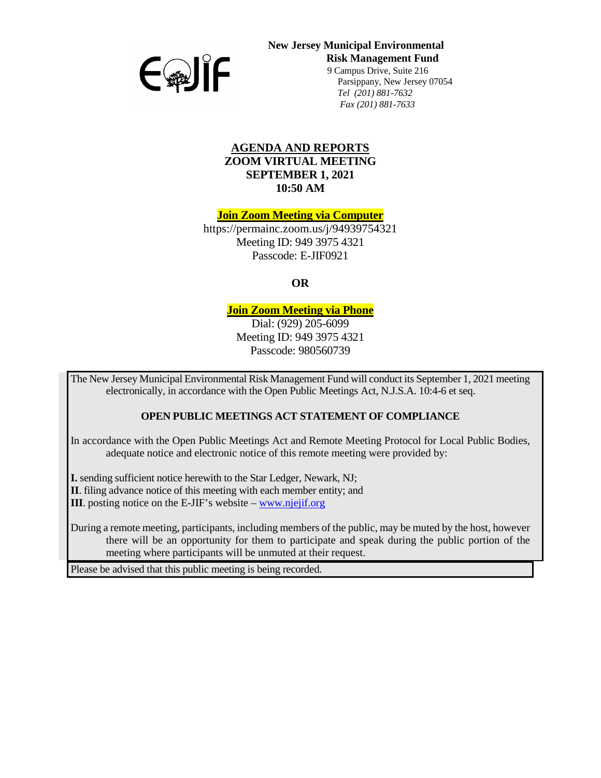

## **New Jersey Municipal Environmental Risk Management Fund**  9 Campus Drive, Suite 216

 Parsippany, New Jersey 07054 *Tel (201) 881-7632 Fax (201) 881-7633*

#### **AGENDA AND REPORTS ZOOM VIRTUAL MEETING SEPTEMBER 1, 2021 10:50 AM**

**Join Zoom Meeting via Computer**

https://permainc.zoom.us/j/94939754321 Meeting ID: 949 3975 4321 Passcode: E-JIF0921

**OR**

## **Join Zoom Meeting via Phone**

Dial: (929) 205-6099 Meeting ID: 949 3975 4321 Passcode: 980560739

The New Jersey Municipal Environmental Risk Management Fund will conduct its September 1, 2021 meeting electronically, in accordance with the Open Public Meetings Act, N.J.S.A. 10:4-6 et seq.

#### **OPEN PUBLIC MEETINGS ACT STATEMENT OF COMPLIANCE**

In accordance with the Open Public Meetings Act and Remote Meeting Protocol for Local Public Bodies, adequate notice and electronic notice of this remote meeting were provided by:

**I.** sending sufficient notice herewith to the Star Ledger, Newark, NJ;

**II**. filing advance notice of this meeting with each member entity; and

**III**. posting notice on the E-JIF's website – [www.njejif.org](http://www.njejif.org/)

During a remote meeting, participants, including members of the public, may be muted by the host, however there will be an opportunity for them to participate and speak during the public portion of the meeting where participants will be unmuted at their request.

Please be advised that this public meeting is being recorded.